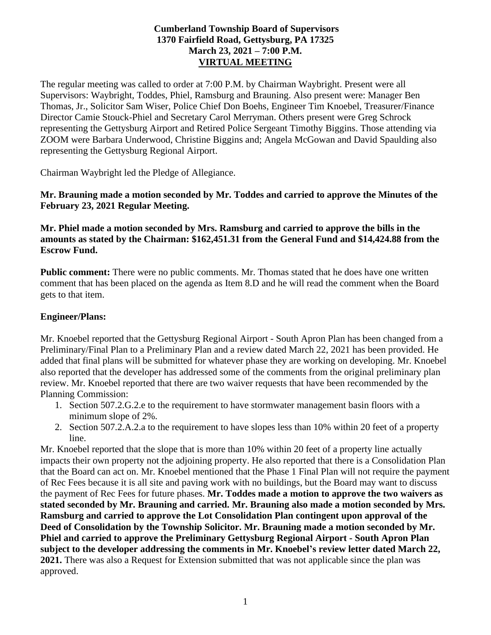### **Cumberland Township Board of Supervisors 1370 Fairfield Road, Gettysburg, PA 17325 March 23, 2021 – 7:00 P.M. VIRTUAL MEETING**

The regular meeting was called to order at 7:00 P.M. by Chairman Waybright. Present were all Supervisors: Waybright, Toddes, Phiel, Ramsburg and Brauning. Also present were: Manager Ben Thomas, Jr., Solicitor Sam Wiser, Police Chief Don Boehs, Engineer Tim Knoebel, Treasurer/Finance Director Camie Stouck-Phiel and Secretary Carol Merryman. Others present were Greg Schrock representing the Gettysburg Airport and Retired Police Sergeant Timothy Biggins. Those attending via ZOOM were Barbara Underwood, Christine Biggins and; Angela McGowan and David Spaulding also representing the Gettysburg Regional Airport.

Chairman Waybright led the Pledge of Allegiance.

**Mr. Brauning made a motion seconded by Mr. Toddes and carried to approve the Minutes of the February 23, 2021 Regular Meeting.**

#### **Mr. Phiel made a motion seconded by Mrs. Ramsburg and carried to approve the bills in the amounts as stated by the Chairman: \$162,451.31 from the General Fund and \$14,424.88 from the Escrow Fund.**

**Public comment:** There were no public comments. Mr. Thomas stated that he does have one written comment that has been placed on the agenda as Item 8.D and he will read the comment when the Board gets to that item.

### **Engineer/Plans:**

Mr. Knoebel reported that the Gettysburg Regional Airport - South Apron Plan has been changed from a Preliminary/Final Plan to a Preliminary Plan and a review dated March 22, 2021 has been provided. He added that final plans will be submitted for whatever phase they are working on developing. Mr. Knoebel also reported that the developer has addressed some of the comments from the original preliminary plan review. Mr. Knoebel reported that there are two waiver requests that have been recommended by the Planning Commission:

- 1. Section 507.2.G.2.e to the requirement to have stormwater management basin floors with a minimum slope of 2%.
- 2. Section 507.2.A.2.a to the requirement to have slopes less than 10% within 20 feet of a property line.

Mr. Knoebel reported that the slope that is more than 10% within 20 feet of a property line actually impacts their own property not the adjoining property. He also reported that there is a Consolidation Plan that the Board can act on. Mr. Knoebel mentioned that the Phase 1 Final Plan will not require the payment of Rec Fees because it is all site and paving work with no buildings, but the Board may want to discuss the payment of Rec Fees for future phases. **Mr. Toddes made a motion to approve the two waivers as stated seconded by Mr. Brauning and carried. Mr. Brauning also made a motion seconded by Mrs. Ramsburg and carried to approve the Lot Consolidation Plan contingent upon approval of the Deed of Consolidation by the Township Solicitor. Mr. Brauning made a motion seconded by Mr. Phiel and carried to approve the Preliminary Gettysburg Regional Airport - South Apron Plan subject to the developer addressing the comments in Mr. Knoebel's review letter dated March 22, 2021.** There was also a Request for Extension submitted that was not applicable since the plan was approved.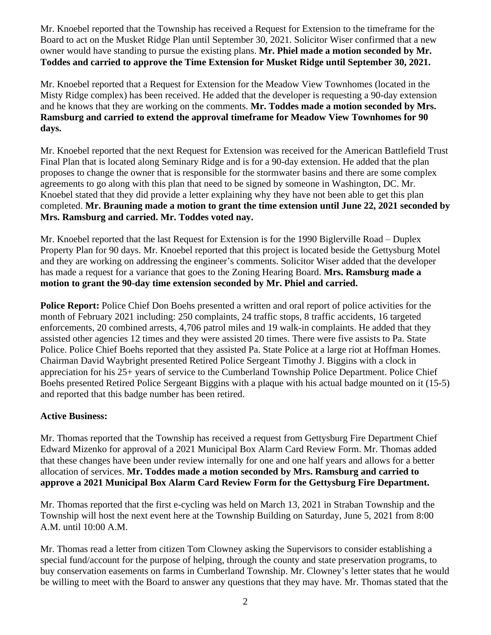Mr. Knoebel reported that the Township has received a Request for Extension to the timeframe for the Board to act on the Musket Ridge Plan until September 30, 2021. Solicitor Wiser confirmed that a new owner would have standing to pursue the existing plans. **Mr. Phiel made a motion seconded by Mr. Toddes and carried to approve the Time Extension for Musket Ridge until September 30, 2021.**

Mr. Knoebel reported that a Request for Extension for the Meadow View Townhomes (located in the Misty Ridge complex) has been received. He added that the developer is requesting a 90-day extension and he knows that they are working on the comments. **Mr. Toddes made a motion seconded by Mrs. Ramsburg and carried to extend the approval timeframe for Meadow View Townhomes for 90 days.** 

Mr. Knoebel reported that the next Request for Extension was received for the American Battlefield Trust Final Plan that is located along Seminary Ridge and is for a 90-day extension. He added that the plan proposes to change the owner that is responsible for the stormwater basins and there are some complex agreements to go along with this plan that need to be signed by someone in Washington, DC. Mr. Knoebel stated that they did provide a letter explaining why they have not been able to get this plan completed. **Mr. Brauning made a motion to grant the time extension until June 22, 2021 seconded by Mrs. Ramsburg and carried. Mr. Toddes voted nay.**

Mr. Knoebel reported that the last Request for Extension is for the 1990 Biglerville Road – Duplex Property Plan for 90 days. Mr. Knoebel reported that this project is located beside the Gettysburg Motel and they are working on addressing the engineer's comments. Solicitor Wiser added that the developer has made a request for a variance that goes to the Zoning Hearing Board. **Mrs. Ramsburg made a motion to grant the 90-day time extension seconded by Mr. Phiel and carried.** 

**Police Report:** Police Chief Don Boehs presented a written and oral report of police activities for the month of February 2021 including: 250 complaints, 24 traffic stops, 8 traffic accidents, 16 targeted enforcements, 20 combined arrests, 4,706 patrol miles and 19 walk-in complaints. He added that they assisted other agencies 12 times and they were assisted 20 times. There were five assists to Pa. State Police. Police Chief Boehs reported that they assisted Pa. State Police at a large riot at Hoffman Homes. Chairman David Waybright presented Retired Police Sergeant Timothy J. Biggins with a clock in appreciation for his 25+ years of service to the Cumberland Township Police Department. Police Chief Boehs presented Retired Police Sergeant Biggins with a plaque with his actual badge mounted on it (15-5) and reported that this badge number has been retired.

# **Active Business:**

Mr. Thomas reported that the Township has received a request from Gettysburg Fire Department Chief Edward Mizenko for approval of a 2021 Municipal Box Alarm Card Review Form. Mr. Thomas added that these changes have been under review internally for one and one half years and allows for a better allocation of services. **Mr. Toddes made a motion seconded by Mrs. Ramsburg and carried to approve a 2021 Municipal Box Alarm Card Review Form for the Gettysburg Fire Department.**

Mr. Thomas reported that the first e-cycling was held on March 13, 2021 in Straban Township and the Township will host the next event here at the Township Building on Saturday, June 5, 2021 from 8:00 A.M. until 10:00 A.M.

Mr. Thomas read a letter from citizen Tom Clowney asking the Supervisors to consider establishing a special fund/account for the purpose of helping, through the county and state preservation programs, to buy conservation easements on farms in Cumberland Township. Mr. Clowney's letter states that he would be willing to meet with the Board to answer any questions that they may have. Mr. Thomas stated that the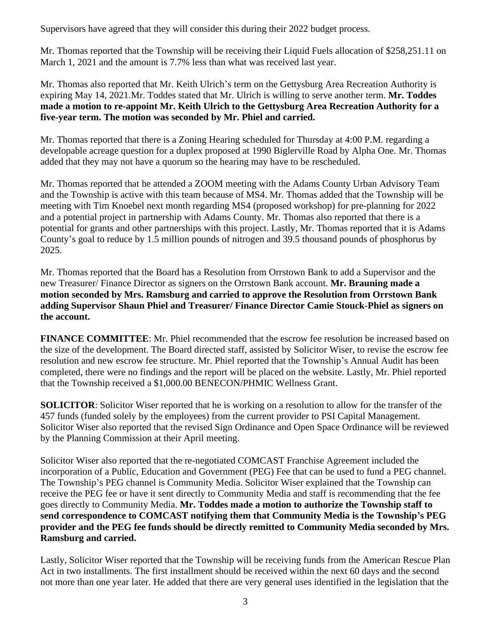Supervisors have agreed that they will consider this during their 2022 budget process.

Mr. Thomas reported that the Township will be receiving their Liquid Fuels allocation of \$258,251.11 on March 1, 2021 and the amount is 7.7% less than what was received last year.

Mr. Thomas also reported that Mr. Keith Ulrich's term on the Gettysburg Area Recreation Authority is expiring May 14, 2021.Mr. Toddes stated that Mr. Ulrich is willing to serve another term. **Mr. Toddes made a motion to re-appoint Mr. Keith Ulrich to the Gettysburg Area Recreation Authority for a five-year term. The motion was seconded by Mr. Phiel and carried.** 

Mr. Thomas reported that there is a Zoning Hearing scheduled for Thursday at 4:00 P.M. regarding a developable acreage question for a duplex proposed at 1990 Biglerville Road by Alpha One. Mr. Thomas added that they may not have a quorum so the hearing may have to be rescheduled.

Mr. Thomas reported that he attended a ZOOM meeting with the Adams County Urban Advisory Team and the Township is active with this team because of MS4. Mr. Thomas added that the Township will be meeting with Tim Knoebel next month regarding MS4 (proposed workshop) for pre-planning for 2022 and a potential project in partnership with Adams County. Mr. Thomas also reported that there is a potential for grants and other partnerships with this project. Lastly, Mr. Thomas reported that it is Adams County's goal to reduce by 1.5 million pounds of nitrogen and 39.5 thousand pounds of phosphorus by 2025.

Mr. Thomas reported that the Board has a Resolution from Orrstown Bank to add a Supervisor and the new Treasurer/ Finance Director as signers on the Orrstown Bank account. **Mr. Brauning made a motion seconded by Mrs. Ramsburg and carried to approve the Resolution from Orrstown Bank adding Supervisor Shaun Phiel and Treasurer/ Finance Director Camie Stouck-Phiel as signers on the account.** 

**FINANCE COMMITTEE**: Mr. Phiel recommended that the escrow fee resolution be increased based on the size of the development. The Board directed staff, assisted by Solicitor Wiser, to revise the escrow fee resolution and new escrow fee structure. Mr. Phiel reported that the Township's Annual Audit has been completed, there were no findings and the report will be placed on the website. Lastly, Mr. Phiel reported that the Township received a \$1,000.00 BENECON/PHMIC Wellness Grant.

**SOLICITOR**: Solicitor Wiser reported that he is working on a resolution to allow for the transfer of the 457 funds (funded solely by the employees) from the current provider to PSI Capital Management. Solicitor Wiser also reported that the revised Sign Ordinance and Open Space Ordinance will be reviewed by the Planning Commission at their April meeting.

Solicitor Wiser also reported that the re-negotiated COMCAST Franchise Agreement included the incorporation of a Public, Education and Government (PEG) Fee that can be used to fund a PEG channel. The Township's PEG channel is Community Media. Solicitor Wiser explained that the Township can receive the PEG fee or have it sent directly to Community Media and staff is recommending that the fee goes directly to Community Media. **Mr. Toddes made a motion to authorize the Township staff to send correspondence to COMCAST notifying them that Community Media is the Township's PEG provider and the PEG fee funds should be directly remitted to Community Media seconded by Mrs. Ramsburg and carried.** 

Lastly, Solicitor Wiser reported that the Township will be receiving funds from the American Rescue Plan Act in two installments. The first installment should be received within the next 60 days and the second not more than one year later. He added that there are very general uses identified in the legislation that the